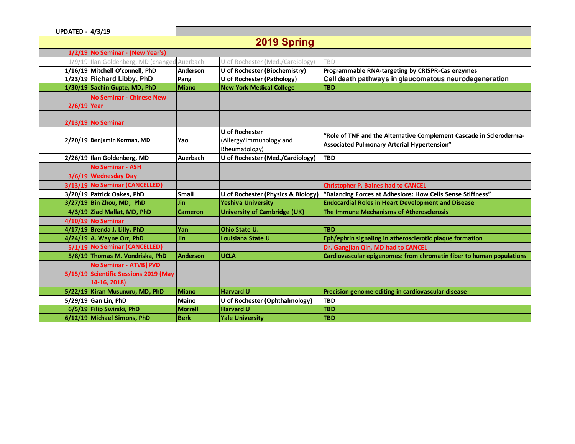| <b>UPDATED - 4/3/19</b>          |                                                                                  |                 |                                                                   |                                                                                                                    |  |
|----------------------------------|----------------------------------------------------------------------------------|-----------------|-------------------------------------------------------------------|--------------------------------------------------------------------------------------------------------------------|--|
| 2019 Spring                      |                                                                                  |                 |                                                                   |                                                                                                                    |  |
| 1/2/19 No Seminar - (New Year's) |                                                                                  |                 |                                                                   |                                                                                                                    |  |
|                                  | 1/9/19 Ilan Goldenberg, MD (chang                                                | Auerbach        | of Rochester (Med./Cardiology)                                    | TBD                                                                                                                |  |
|                                  | 1/16/19 Mitchell O'connell, PhD                                                  | Anderson        | U of Rochester (Biochemistry)                                     | Programmable RNA-targeting by CRISPR-Cas enzymes                                                                   |  |
|                                  | 1/23/19 Richard Libby, PhD                                                       | Pang            | U of Rochester (Pathology)                                        | Cell death pathways in glaucomatous neurodegeneration                                                              |  |
|                                  | 1/30/19 Sachin Gupte, MD, PhD                                                    | <b>Miano</b>    | <b>New York Medical College</b>                                   | <b>TBD</b>                                                                                                         |  |
| 2/6/19 Year                      | <b>No Seminar - Chinese New</b>                                                  |                 |                                                                   |                                                                                                                    |  |
|                                  | 2/13/19 No Seminar                                                               |                 |                                                                   |                                                                                                                    |  |
|                                  | 2/20/19 Benjamin Korman, MD                                                      | Yao             | <b>U</b> of Rochester<br>(Allergy/Immunology and<br>Rheumatology) | "Role of TNF and the Alternative Complement Cascade in Scleroderma-<br>Associated Pulmonary Arterial Hypertension" |  |
|                                  | 2/26/19 Ilan Goldenberg, MD                                                      | Auerbach        | U of Rochester (Med./Cardiology)                                  | <b>TBD</b>                                                                                                         |  |
|                                  | <b>No Seminar - ASH</b><br>3/6/19 Wednesday Day                                  |                 |                                                                   |                                                                                                                    |  |
|                                  | 3/13/19 No Seminar (CANCELLED)                                                   |                 |                                                                   | <b>Christopher P. Baines had to CANCEL</b>                                                                         |  |
|                                  | 3/20/19 Patrick Oakes, PhD                                                       | <b>Small</b>    | U of Rochester (Physics & Biology)                                | "Balancing Forces at Adhesions: How Cells Sense Stiffness"                                                         |  |
|                                  | $3/27/19$ Bin Zhou, MD, PhD                                                      | <b>Jin</b>      | <b>Yeshiva University</b>                                         | <b>Endocardial Roles in Heart Development and Disease</b>                                                          |  |
|                                  | 4/3/19 Ziad Mallat, MD, PhD                                                      | <b>Cameron</b>  | <b>University of Cambridge (UK)</b>                               | The Immune Mechanisms of Atherosclerosis                                                                           |  |
|                                  | 4/10/19 No Seminar                                                               |                 |                                                                   |                                                                                                                    |  |
|                                  | $4/17/19$ Brenda J. Lilly, PhD                                                   | Yan             | <b>Ohio State U.</b>                                              | <b>TBD</b>                                                                                                         |  |
|                                  | $4/24/19$ A. Wayne Orr, PhD                                                      | <b>Jin</b>      | Louisiana State U                                                 | Eph/ephrin signaling in atherosclerotic plaque formation                                                           |  |
|                                  | 5/1/19 No Seminar (CANCELLED)                                                    |                 |                                                                   | Dr. Gangjian Qin, MD had to CANCEL                                                                                 |  |
|                                  | 5/8/19 Thomas M. Vondriska, PhD                                                  | <b>Anderson</b> | <b>UCLA</b>                                                       | Cardiovascular epigenomes: from chromatin fiber to human populations                                               |  |
|                                  | No Seminar - ATVB   PVD<br>5/15/19 Scientific Sessions 2019 (May<br>14-16, 2018) |                 |                                                                   |                                                                                                                    |  |
|                                  | 5/22/19 Kiran Musunuru, MD, PhD                                                  | <b>Miano</b>    | <b>Harvard U</b>                                                  | Precision genome editing in cardiovascular disease                                                                 |  |
|                                  | 5/29/19 Gan Lin, PhD                                                             | Maino           | U of Rochester (Ophthalmology)                                    | <b>TBD</b>                                                                                                         |  |
|                                  | 6/5/19 Filip Swirski, PhD                                                        | <b>Morrell</b>  | <b>Harvard U</b>                                                  | <b>TBD</b>                                                                                                         |  |
|                                  | 6/12/19 Michael Simons, PhD                                                      | <b>Berk</b>     | <b>Yale University</b>                                            | <b>TBD</b>                                                                                                         |  |